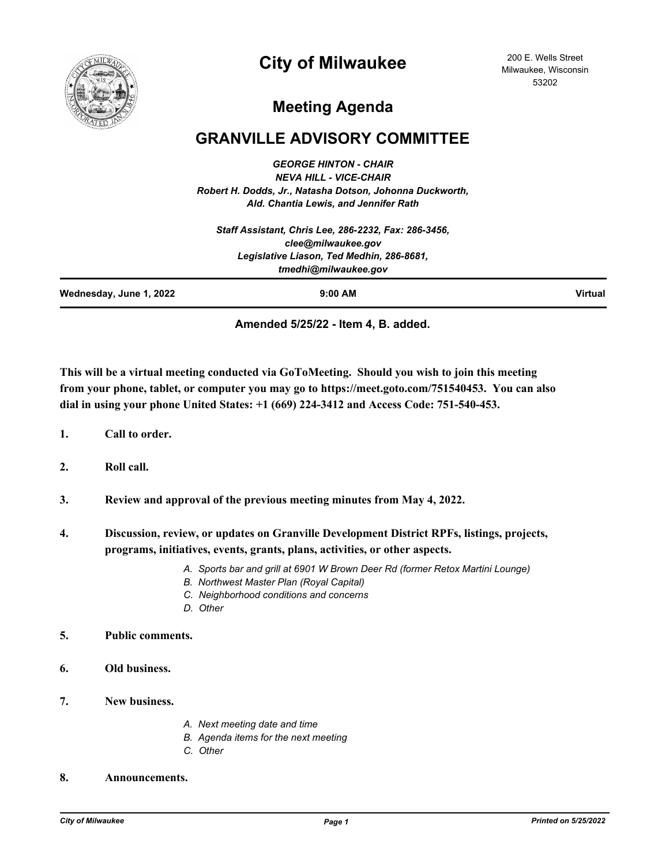

# **City of Milwaukee**

200 E. Wells Street Milwaukee, Wisconsin 53202

# **Meeting Agenda**

### **GRANVILLE ADVISORY COMMITTEE**

*GEORGE HINTON - CHAIR NEVA HILL - VICE-CHAIR Robert H. Dodds, Jr., Natasha Dotson, Johonna Duckworth, Ald. Chantia Lewis, and Jennifer Rath*

|                         | Staff Assistant, Chris Lee, 286-2232, Fax: 286-3456, |                |
|-------------------------|------------------------------------------------------|----------------|
|                         | clee@milwaukee.gov                                   |                |
|                         | Legislative Liason, Ted Medhin, 286-8681,            |                |
|                         | tmedhi@milwaukee.gov                                 |                |
| Wednesday, June 1, 2022 | $9:00$ AM                                            | <b>Virtual</b> |

#### **Amended 5/25/22 - Item 4, B. added.**

**This will be a virtual meeting conducted via GoToMeeting. Should you wish to join this meeting from your phone, tablet, or computer you may go to https://meet.goto.com/751540453. You can also dial in using your phone United States: +1 (669) 224-3412 and Access Code: 751-540-453.**

- **1. Call to order.**
- **2. Roll call.**
- **3. Review and approval of the previous meeting minutes from May 4, 2022.**
- **4. Discussion, review, or updates on Granville Development District RPFs, listings, projects, programs, initiatives, events, grants, plans, activities, or other aspects.**
	- *A. Sports bar and grill at 6901 W Brown Deer Rd (former Retox Martini Lounge)*
	- *B. Northwest Master Plan (Royal Capital)*
	- *C. Neighborhood conditions and concerns*
	- *D. Other*

#### **5. Public comments.**

- **6. Old business.**
- **7. New business.**
- *A. Next meeting date and time*
- *B. Agenda items for the next meeting*
- *C. Other*

#### **8. Announcements.**